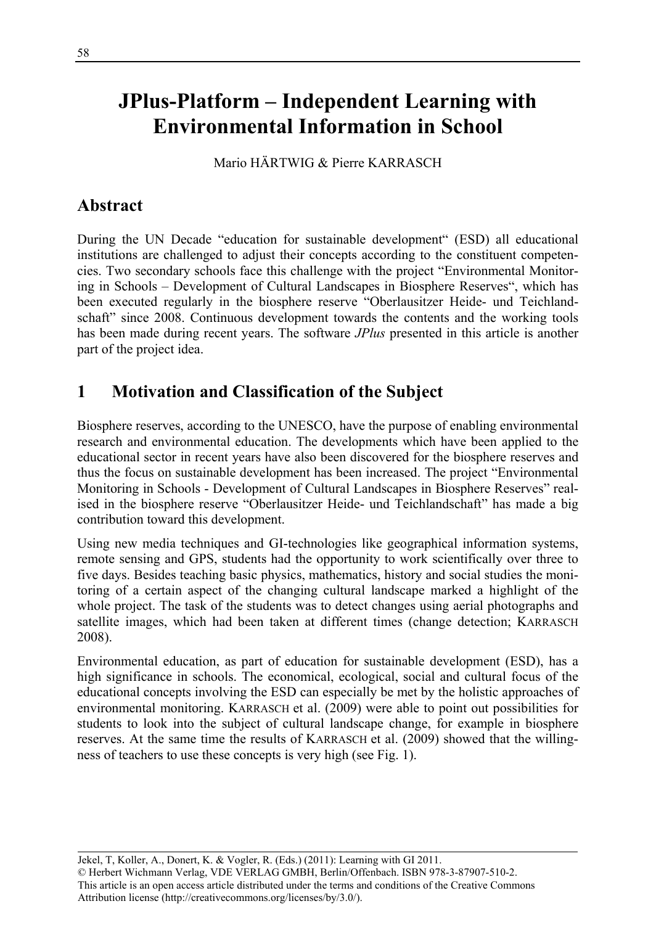# **JPlus-Platform – Independent Learning with Environmental Information in School**

Mario HÄRTWIG & Pierre KARRASCH

## **Abstract**

During the UN Decade "education for sustainable development" (ESD) all educational institutions are challenged to adjust their concepts according to the constituent competencies. Two secondary schools face this challenge with the project "Environmental Monitoring in Schools – Development of Cultural Landscapes in Biosphere Reserves", which has been executed regularly in the biosphere reserve "Oberlausitzer Heide- und Teichlandschaft" since 2008. Continuous development towards the contents and the working tools has been made during recent years. The software *JPlus* presented in this article is another part of the project idea.

## **1 Motivation and Classification of the Subject**

Biosphere reserves, according to the UNESCO, have the purpose of enabling environmental research and environmental education. The developments which have been applied to the educational sector in recent years have also been discovered for the biosphere reserves and thus the focus on sustainable development has been increased. The project "Environmental Monitoring in Schools - Development of Cultural Landscapes in Biosphere Reserves" realised in the biosphere reserve "Oberlausitzer Heide- und Teichlandschaft" has made a big contribution toward this development.

Using new media techniques and GI-technologies like geographical information systems, remote sensing and GPS, students had the opportunity to work scientifically over three to five days. Besides teaching basic physics, mathematics, history and social studies the monitoring of a certain aspect of the changing cultural landscape marked a highlight of the whole project. The task of the students was to detect changes using aerial photographs and satellite images, which had been taken at different times (change detection; KARRASCH 2008).

Environmental education, as part of education for sustainable development (ESD), has a high significance in schools. The economical, ecological, social and cultural focus of the educational concepts involving the ESD can especially be met by the holistic approaches of environmental monitoring. KARRASCH et al. (2009) were able to point out possibilities for students to look into the subject of cultural landscape change, for example in biosphere reserves. At the same time the results of KARRASCH et al. (2009) showed that the willingness of teachers to use these concepts is very high (see Fig. 1).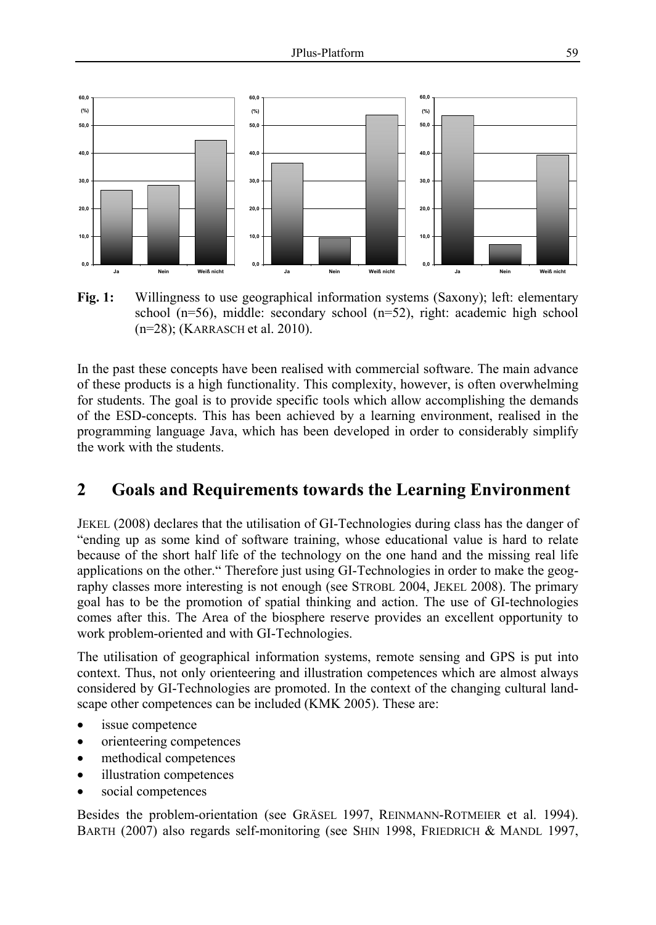

**Fig. 1:** Willingness to use geographical information systems (Saxony); left: elementary school  $(n=56)$ , middle: secondary school  $(n=52)$ , right: academic high school (n=28); (KARRASCH et al. 2010).

In the past these concepts have been realised with commercial software. The main advance of these products is a high functionality. This complexity, however, is often overwhelming for students. The goal is to provide specific tools which allow accomplishing the demands of the ESD-concepts. This has been achieved by a learning environment, realised in the programming language Java, which has been developed in order to considerably simplify the work with the students.

#### **2 Goals and Requirements towards the Learning Environment**

JEKEL (2008) declares that the utilisation of GI-Technologies during class has the danger of "ending up as some kind of software training, whose educational value is hard to relate because of the short half life of the technology on the one hand and the missing real life applications on the other." Therefore just using GI-Technologies in order to make the geography classes more interesting is not enough (see STROBL 2004, JEKEL 2008). The primary goal has to be the promotion of spatial thinking and action. The use of GI-technologies comes after this. The Area of the biosphere reserve provides an excellent opportunity to work problem-oriented and with GI-Technologies.

The utilisation of geographical information systems, remote sensing and GPS is put into context. Thus, not only orienteering and illustration competences which are almost always considered by GI-Technologies are promoted. In the context of the changing cultural landscape other competences can be included (KMK 2005). These are:

- issue competence
- orienteering competences
- methodical competences
- illustration competences
- social competences

Besides the problem-orientation (see GRÄSEL 1997, REINMANN-ROTMEIER et al. 1994). BARTH (2007) also regards self-monitoring (see SHIN 1998, FRIEDRICH & MANDL 1997,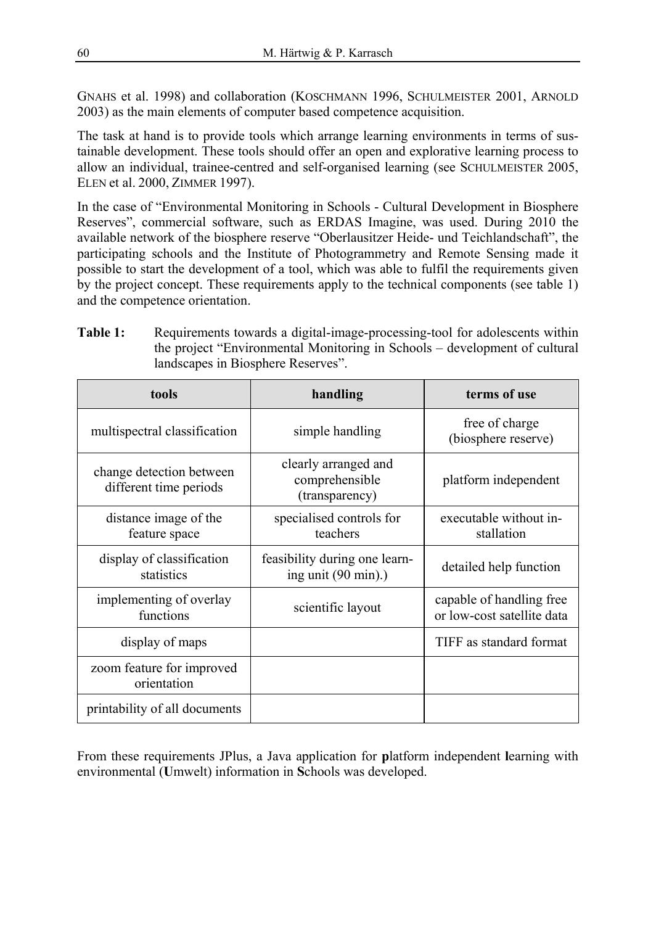GNAHS et al. 1998) and collaboration (KOSCHMANN 1996, SCHULMEISTER 2001, ARNOLD 2003) as the main elements of computer based competence acquisition.

The task at hand is to provide tools which arrange learning environments in terms of sustainable development. These tools should offer an open and explorative learning process to allow an individual, trainee-centred and self-organised learning (see SCHULMEISTER 2005, ELEN et al. 2000, ZIMMER 1997).

In the case of "Environmental Monitoring in Schools - Cultural Development in Biosphere Reserves", commercial software, such as ERDAS Imagine, was used. During 2010 the available network of the biosphere reserve "Oberlausitzer Heide- und Teichlandschaft", the participating schools and the Institute of Photogrammetry and Remote Sensing made it possible to start the development of a tool, which was able to fulfil the requirements given by the project concept. These requirements apply to the technical components (see table 1) and the competence orientation.

| Table 1. | Requirements towards a digital-mage-processing-tool for adolescents within<br>the project "Environmental Monitoring in Schools – development of cultural |
|----------|----------------------------------------------------------------------------------------------------------------------------------------------------------|
|          | landscapes in Biosphere Reserves".                                                                                                                       |

**Table 1:** Requirements towards a digital-image-processing-tool for adolescents within

| tools                                              | handling                                                        | terms of use                                           |
|----------------------------------------------------|-----------------------------------------------------------------|--------------------------------------------------------|
| multispectral classification                       | simple handling                                                 | free of charge<br>(biosphere reserve)                  |
| change detection between<br>different time periods | clearly arranged and<br>comprehensible<br>(transparency)        | platform independent                                   |
| distance image of the<br>feature space             | specialised controls for<br>teachers                            | executable without in-<br>stallation                   |
| display of classification<br>statistics            | feasibility during one learn-<br>ing unit $(90 \text{ min})$ .) | detailed help function                                 |
| implementing of overlay<br>functions               | scientific layout                                               | capable of handling free<br>or low-cost satellite data |
| display of maps                                    |                                                                 | TIFF as standard format                                |
| zoom feature for improved<br>orientation           |                                                                 |                                                        |
| printability of all documents                      |                                                                 |                                                        |

From these requirements JPlus, a Java application for **p**latform independent **l**earning with environmental (**U**mwelt) information in **S**chools was developed.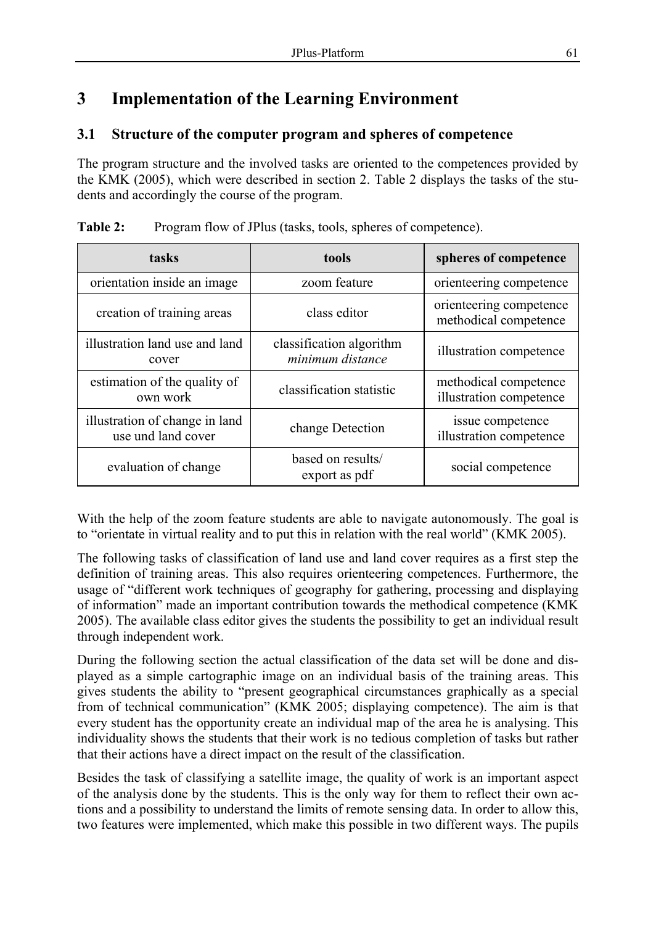## **3 Implementation of the Learning Environment**

#### **3.1 Structure of the computer program and spheres of competence**

The program structure and the involved tasks are oriented to the competences provided by the KMK (2005), which were described in section 2. Table 2 displays the tasks of the students and accordingly the course of the program.

| tasks                                                | tools                                        | spheres of competence                            |
|------------------------------------------------------|----------------------------------------------|--------------------------------------------------|
| orientation inside an image                          | zoom feature                                 | orienteering competence                          |
| creation of training areas                           | class editor                                 | orienteering competence<br>methodical competence |
| illustration land use and land<br>cover              | classification algorithm<br>minimum distance | illustration competence                          |
| estimation of the quality of<br>own work             | classification statistic                     | methodical competence<br>illustration competence |
| illustration of change in land<br>use und land cover | change Detection                             | issue competence<br>illustration competence      |
| evaluation of change                                 | based on results/<br>export as pdf           | social competence                                |

**Table 2:** Program flow of JPlus (tasks, tools, spheres of competence).

With the help of the zoom feature students are able to navigate autonomously. The goal is to "orientate in virtual reality and to put this in relation with the real world" (KMK 2005).

The following tasks of classification of land use and land cover requires as a first step the definition of training areas. This also requires orienteering competences. Furthermore, the usage of "different work techniques of geography for gathering, processing and displaying of information" made an important contribution towards the methodical competence (KMK 2005). The available class editor gives the students the possibility to get an individual result through independent work.

During the following section the actual classification of the data set will be done and displayed as a simple cartographic image on an individual basis of the training areas. This gives students the ability to "present geographical circumstances graphically as a special from of technical communication" (KMK 2005; displaying competence). The aim is that every student has the opportunity create an individual map of the area he is analysing. This individuality shows the students that their work is no tedious completion of tasks but rather that their actions have a direct impact on the result of the classification.

Besides the task of classifying a satellite image, the quality of work is an important aspect of the analysis done by the students. This is the only way for them to reflect their own actions and a possibility to understand the limits of remote sensing data. In order to allow this, two features were implemented, which make this possible in two different ways. The pupils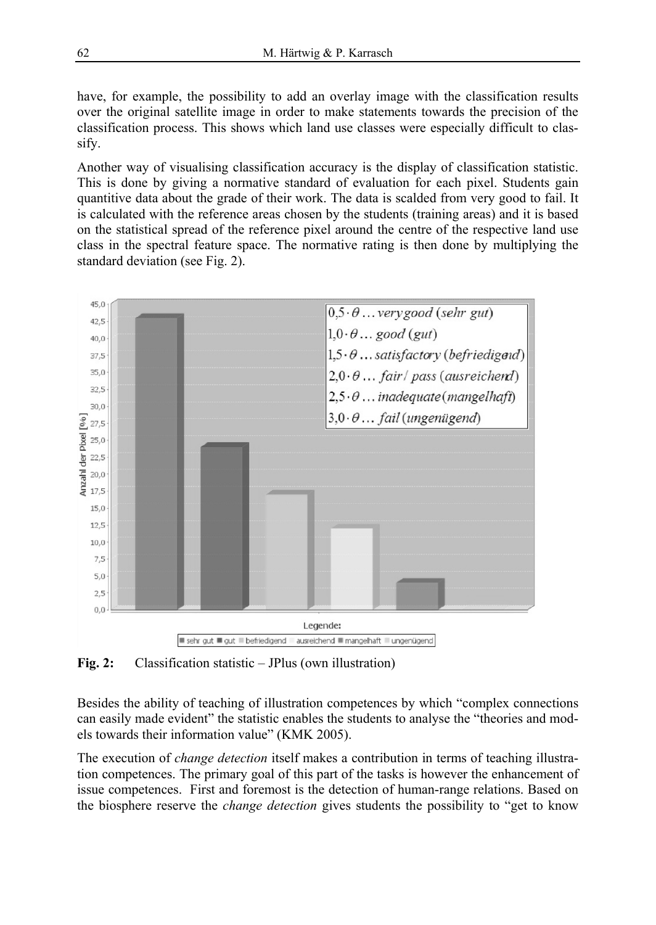have, for example, the possibility to add an overlay image with the classification results over the original satellite image in order to make statements towards the precision of the classification process. This shows which land use classes were especially difficult to classify.

Another way of visualising classification accuracy is the display of classification statistic. This is done by giving a normative standard of evaluation for each pixel. Students gain quantitive data about the grade of their work. The data is scalded from very good to fail. It is calculated with the reference areas chosen by the students (training areas) and it is based on the statistical spread of the reference pixel around the centre of the respective land use class in the spectral feature space. The normative rating is then done by multiplying the standard deviation (see Fig. 2).



**Fig. 2:** Classification statistic – JPlus (own illustration)

Besides the ability of teaching of illustration competences by which "complex connections can easily made evident" the statistic enables the students to analyse the "theories and models towards their information value" (KMK 2005).

The execution of *change detection* itself makes a contribution in terms of teaching illustration competences. The primary goal of this part of the tasks is however the enhancement of issue competences. First and foremost is the detection of human-range relations. Based on the biosphere reserve the *change detection* gives students the possibility to "get to know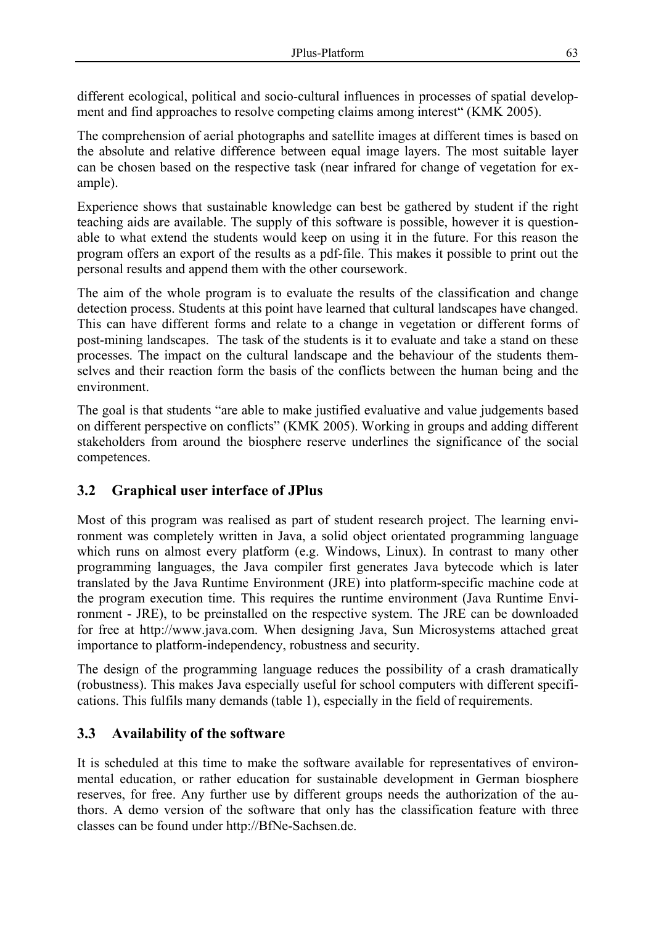different ecological, political and socio-cultural influences in processes of spatial development and find approaches to resolve competing claims among interest" (KMK 2005).

The comprehension of aerial photographs and satellite images at different times is based on the absolute and relative difference between equal image layers. The most suitable layer can be chosen based on the respective task (near infrared for change of vegetation for example).

Experience shows that sustainable knowledge can best be gathered by student if the right teaching aids are available. The supply of this software is possible, however it is questionable to what extend the students would keep on using it in the future. For this reason the program offers an export of the results as a pdf-file. This makes it possible to print out the personal results and append them with the other coursework.

The aim of the whole program is to evaluate the results of the classification and change detection process. Students at this point have learned that cultural landscapes have changed. This can have different forms and relate to a change in vegetation or different forms of post-mining landscapes. The task of the students is it to evaluate and take a stand on these processes. The impact on the cultural landscape and the behaviour of the students themselves and their reaction form the basis of the conflicts between the human being and the environment.

The goal is that students "are able to make justified evaluative and value judgements based on different perspective on conflicts" (KMK 2005). Working in groups and adding different stakeholders from around the biosphere reserve underlines the significance of the social competences.

#### **3.2 Graphical user interface of JPlus**

Most of this program was realised as part of student research project. The learning environment was completely written in Java, a solid object orientated programming language which runs on almost every platform (e.g. Windows, Linux). In contrast to many other programming languages, the Java compiler first generates Java bytecode which is later translated by the Java Runtime Environment (JRE) into platform-specific machine code at the program execution time. This requires the runtime environment (Java Runtime Environment - JRE), to be preinstalled on the respective system. The JRE can be downloaded for free at http://www.java.com. When designing Java, Sun Microsystems attached great importance to platform-independency, robustness and security.

The design of the programming language reduces the possibility of a crash dramatically (robustness). This makes Java especially useful for school computers with different specifications. This fulfils many demands (table 1), especially in the field of requirements.

#### **3.3 Availability of the software**

It is scheduled at this time to make the software available for representatives of environmental education, or rather education for sustainable development in German biosphere reserves, for free. Any further use by different groups needs the authorization of the authors. A demo version of the software that only has the classification feature with three classes can be found under http://BfNe-Sachsen.de.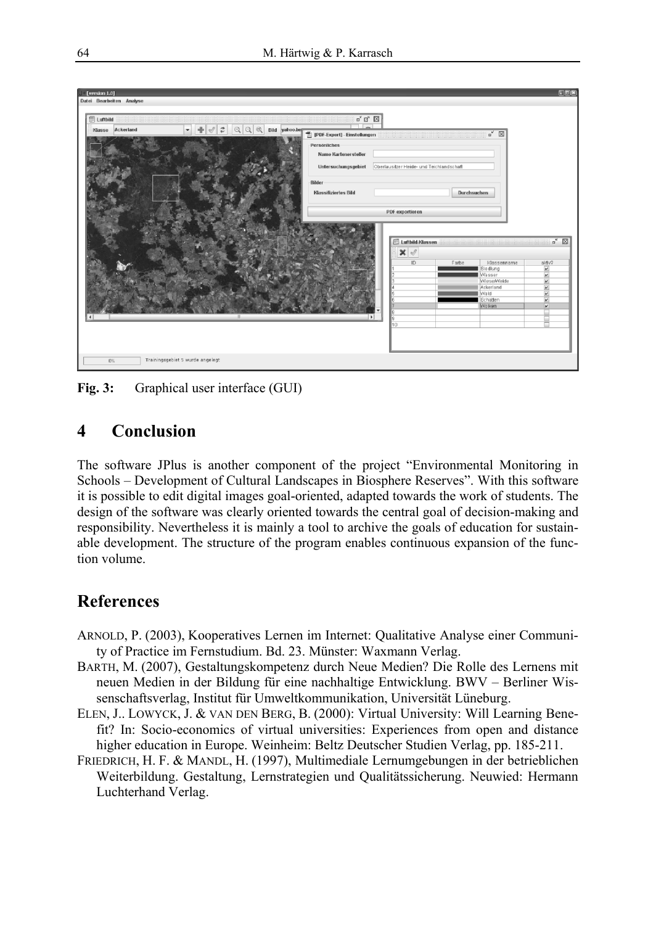

**Fig. 3:** Graphical user interface (GUI)

## **4 Conclusion**

The software JPlus is another component of the project "Environmental Monitoring in Schools – Development of Cultural Landscapes in Biosphere Reserves". With this software it is possible to edit digital images goal-oriented, adapted towards the work of students. The design of the software was clearly oriented towards the central goal of decision-making and responsibility. Nevertheless it is mainly a tool to archive the goals of education for sustainable development. The structure of the program enables continuous expansion of the function volume.

## **References**

- ARNOLD, P. (2003), Kooperatives Lernen im Internet: Qualitative Analyse einer Community of Practice im Fernstudium. Bd. 23. Münster: Waxmann Verlag.
- BARTH, M. (2007), Gestaltungskompetenz durch Neue Medien? Die Rolle des Lernens mit neuen Medien in der Bildung für eine nachhaltige Entwicklung. BWV – Berliner Wissenschaftsverlag, Institut für Umweltkommunikation, Universität Lüneburg.
- ELEN, J.. LOWYCK, J. & VAN DEN BERG, B. (2000): Virtual University: Will Learning Benefit? In: Socio-economics of virtual universities: Experiences from open and distance higher education in Europe. Weinheim: Beltz Deutscher Studien Verlag, pp. 185-211.
- FRIEDRICH, H. F. & MANDL, H. (1997), Multimediale Lernumgebungen in der betrieblichen Weiterbildung. Gestaltung, Lernstrategien und Qualitätssicherung. Neuwied: Hermann Luchterhand Verlag.